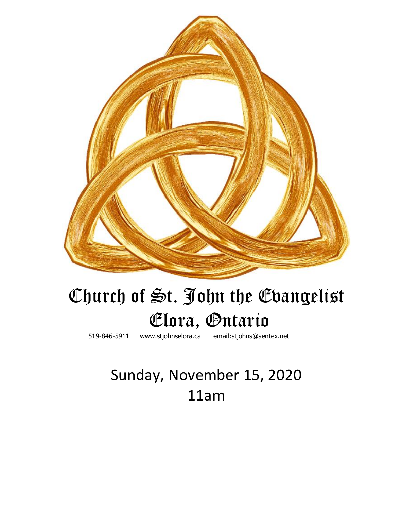

# Church of St. John the Evangelist **Clora, Ontario**<br> **Elora, Ontario**<br> **email:stjohns@sent**

519-846-5911 [www.stjohnselora.ca email:stjohns@sentex.net](http://www.stjohnselora.ca%20%20%20%20%20%20email:stjohns@sentex.net)

## Sunday, November 15, 2020 11am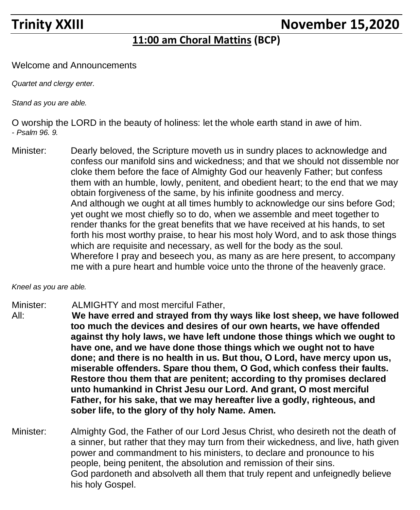### **Trinity XXIII** November 15,2020

### **11:00 am Choral Mattins (BCP)**

### Welcome and Announcements

*Quartet and clergy enter.*

*Stand as you are able.*

O worship the LORD in the beauty of holiness: let the whole earth stand in awe of him. *- Psalm 96. 9.*

Minister: Dearly beloved, the Scripture moveth us in sundry places to acknowledge and confess our manifold sins and wickedness; and that we should not dissemble nor cloke them before the face of Almighty God our heavenly Father; but confess them with an humble, lowly, penitent, and obedient heart; to the end that we may obtain forgiveness of the same, by his infinite goodness and mercy. And although we ought at all times humbly to acknowledge our sins before God; yet ought we most chiefly so to do, when we assemble and meet together to render thanks for the great benefits that we have received at his hands, to set forth his most worthy praise, to hear his most holy Word, and to ask those things which are requisite and necessary, as well for the body as the soul. Wherefore I pray and beseech you, as many as are here present, to accompany me with a pure heart and humble voice unto the throne of the heavenly grace.

*Kneel as you are able.*

- Minister: ALMIGHTY and most merciful Father, All: **We have erred and strayed from thy ways like lost sheep, we have followed too much the devices and desires of our own hearts, we have offended against thy holy laws, we have left undone those things which we ought to have one, and we have done those things which we ought not to have done; and there is no health in us. But thou, O Lord, have mercy upon us, miserable offenders. Spare thou them, O God, which confess their faults. Restore thou them that are penitent; according to thy promises declared unto humankind in Christ Jesu our Lord. And grant, O most merciful Father, for his sake, that we may hereafter live a godly, righteous, and sober life, to the glory of thy holy Name. Amen.**
- Minister: Almighty God, the Father of our Lord Jesus Christ, who desireth not the death of a sinner, but rather that they may turn from their wickedness, and live, hath given power and commandment to his ministers, to declare and pronounce to his people, being penitent, the absolution and remission of their sins. God pardoneth and absolveth all them that truly repent and unfeignedly believe his holy Gospel.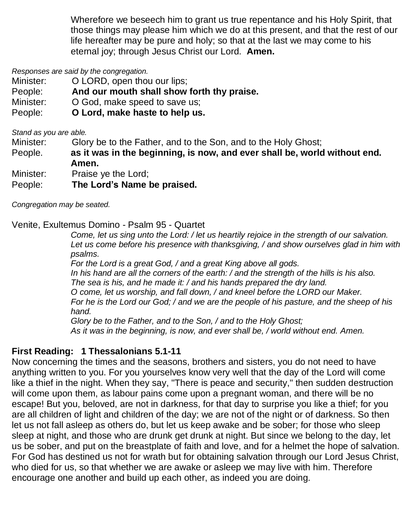Wherefore we beseech him to grant us true repentance and his Holy Spirit, that those things may please him which we do at this present, and that the rest of our life hereafter may be pure and holy; so that at the last we may come to his eternal joy; through Jesus Christ our Lord. **Amen.**

*Responses are said by the congregation.*

- Minister: **O LORD**, open thou our lips;
- People: **And our mouth shall show forth thy praise.**
- Minister: **O God, make speed to save us;**
- People: **O Lord, make haste to help us.**

*Stand as you are able.*

- Minister: Glory be to the Father, and to the Son, and to the Holy Ghost;
- People. **as it was in the beginning, is now, and ever shall be, world without end. Amen.**
- Minister: Praise ye the Lord;
- People: **The Lord's Name be praised.**

*Congregation may be seated.*

Venite, Exultemus Domino - Psalm 95 - Quartet

*Come, let us sing unto the Lord: / let us heartily rejoice in the strength of our salvation. Let us come before his presence with thanksgiving, / and show ourselves glad in him with psalms.*

*For the Lord is a great God, / and a great King above all gods.*

In his hand are all the corners of the earth: / and the strength of the hills is his also.

*The sea is his, and he made it: / and his hands prepared the dry land.*

*O come, let us worship, and fall down, / and kneel before the LORD our Maker.*

For he is the Lord our God; / and we are the people of his pasture, and the sheep of his *hand.*

*Glory be to the Father, and to the Son, / and to the Holy Ghost; As it was in the beginning, is now, and ever shall be, / world without end. Amen.*

### **First Reading: 1 Thessalonians 5.1-11**

Now concerning the times and the seasons, brothers and sisters, you do not need to have anything written to you. For you yourselves know very well that the day of the Lord will come like a thief in the night. When they say, "There is peace and security," then sudden destruction will come upon them, as labour pains come upon a pregnant woman, and there will be no escape! But you, beloved, are not in darkness, for that day to surprise you like a thief; for you are all children of light and children of the day; we are not of the night or of darkness. So then let us not fall asleep as others do, but let us keep awake and be sober; for those who sleep sleep at night, and those who are drunk get drunk at night. But since we belong to the day, let us be sober, and put on the breastplate of faith and love, and for a helmet the hope of salvation. For God has destined us not for wrath but for obtaining salvation through our Lord Jesus Christ, who died for us, so that whether we are awake or asleep we may live with him. Therefore encourage one another and build up each other, as indeed you are doing.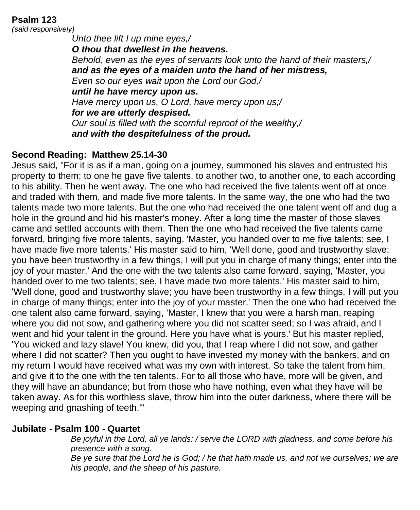### **Psalm 123**

*(said responsively)*

*Unto thee lift I up mine eyes,/ O thou that dwellest in the heavens. Behold, even as the eyes of servants look unto the hand of their masters,/ and as the eyes of a maiden unto the hand of her mistress, Even so our eyes wait upon the Lord our God,/ until he have mercy upon us. Have mercy upon us, O Lord, have mercy upon us;/ for we are utterly despised. Our soul is filled with the scornful reproof of the wealthy,/ and with the despitefulness of the proud.*

### **Second Reading: Matthew 25.14-30**

Jesus said, "For it is as if a man, going on a journey, summoned his slaves and entrusted his property to them; to one he gave five talents, to another two, to another one, to each according to his ability. Then he went away. The one who had received the five talents went off at once and traded with them, and made five more talents. In the same way, the one who had the two talents made two more talents. But the one who had received the one talent went off and dug a hole in the ground and hid his master's money. After a long time the master of those slaves came and settled accounts with them. Then the one who had received the five talents came forward, bringing five more talents, saying, 'Master, you handed over to me five talents; see, I have made five more talents.' His master said to him, 'Well done, good and trustworthy slave; you have been trustworthy in a few things, I will put you in charge of many things; enter into the joy of your master.' And the one with the two talents also came forward, saying, 'Master, you handed over to me two talents; see, I have made two more talents.' His master said to him, 'Well done, good and trustworthy slave; you have been trustworthy in a few things, I will put you in charge of many things; enter into the joy of your master.' Then the one who had received the one talent also came forward, saying, 'Master, I knew that you were a harsh man, reaping where you did not sow, and gathering where you did not scatter seed; so I was afraid, and I went and hid your talent in the ground. Here you have what is yours.' But his master replied, 'You wicked and lazy slave! You knew, did you, that I reap where I did not sow, and gather where I did not scatter? Then you ought to have invested my money with the bankers, and on my return I would have received what was my own with interest. So take the talent from him, and give it to the one with the ten talents. For to all those who have, more will be given, and they will have an abundance; but from those who have nothing, even what they have will be taken away. As for this worthless slave, throw him into the outer darkness, where there will be weeping and gnashing of teeth.'"

### **Jubilate - Psalm 100 - Quartet**

*his people, and the sheep of his pasture.*

*Be joyful in the Lord, all ye lands: / serve the LORD with gladness, and come before his presence with a song.* Be ye sure that the Lord he is God; / he that hath made us, and not we ourselves; we are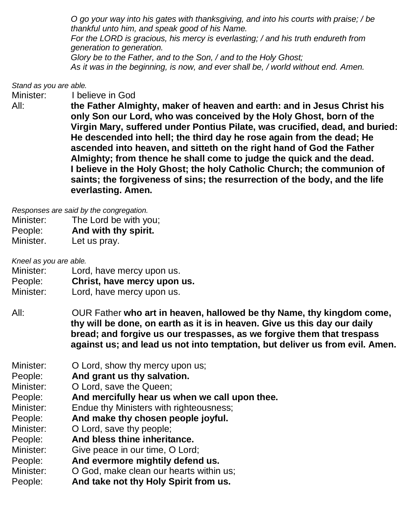*O go your way into his gates with thanksgiving, and into his courts with praise; / be thankful unto him, and speak good of his Name.*

*For the LORD is gracious, his mercy is everlasting; / and his truth endureth from generation to generation.*

*Glory be to the Father, and to the Son, / and to the Holy Ghost; As it was in the beginning, is now, and ever shall be, / world without end. Amen.*

*Stand as you are able.*

Minister: I believe in God

All: **the Father Almighty, maker of heaven and earth: and in Jesus Christ his only Son our Lord, who was conceived by the Holy Ghost, born of the Virgin Mary, suffered under Pontius Pilate, was crucified, dead, and buried: He descended into hell; the third day he rose again from the dead; He ascended into heaven, and sitteth on the right hand of God the Father Almighty; from thence he shall come to judge the quick and the dead. I believe in the Holy Ghost; the holy Catholic Church; the communion of saints; the forgiveness of sins; the resurrection of the body, and the life everlasting. Amen.**

*Responses are said by the congregation.*

- Minister: The Lord be with you;
- People: **And with thy spirit.**
- Minister. Let us pray.

*Kneel as you are able.*

- Minister: Lord, have mercy upon us.
- People: **Christ, have mercy upon us.**

Minister: Lord, have mercy upon us.

- All: OUR Father **who art in heaven, hallowed be thy Name, thy kingdom come, thy will be done, on earth as it is in heaven. Give us this day our daily bread; and forgive us our trespasses, as we forgive them that trespass against us; and lead us not into temptation, but deliver us from evil. Amen.**
- Minister: O Lord, show thy mercy upon us;
- People: **And grant us thy salvation.**
- Minister: O Lord, save the Queen;
- People: **And mercifully hear us when we call upon thee.**
- Minister: Endue thy Ministers with righteousness;
- People: **And make thy chosen people joyful.**
- Minister: O Lord, save thy people;
- People: **And bless thine inheritance.**
- Minister: Give peace in our time, O Lord;
- People: **And evermore mightily defend us.**
- Minister: O God, make clean our hearts within us;
- People: **And take not thy Holy Spirit from us.**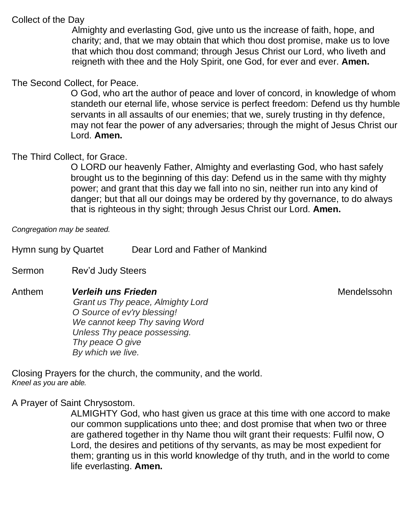### Collect of the Day

Almighty and everlasting God, give unto us the increase of faith, hope, and charity; and, that we may obtain that which thou dost promise, make us to love that which thou dost command; through Jesus Christ our Lord, who liveth and reigneth with thee and the Holy Spirit, one God, for ever and ever. **Amen.**

### The Second Collect, for Peace.

O God, who art the author of peace and lover of concord, in knowledge of whom standeth our eternal life, whose service is perfect freedom: Defend us thy humble servants in all assaults of our enemies; that we, surely trusting in thy defence, may not fear the power of any adversaries; through the might of Jesus Christ our Lord. **Amen.**

### The Third Collect, for Grace.

O LORD our heavenly Father, Almighty and everlasting God, who hast safely brought us to the beginning of this day: Defend us in the same with thy mighty power; and grant that this day we fall into no sin, neither run into any kind of danger; but that all our doings may be ordered by thy governance, to do always that is righteous in thy sight; through Jesus Christ our Lord. **Amen.**

*Congregation may be seated.*

- Hymn sung by Quartet Dear Lord and Father of Mankind
- Sermon Rev'd Judy Steers
- Anthem *Verleih uns Frieden* Mendelssohn **Mendelssohn**

 *Grant us Thy peace, Almighty Lord O Source of ev'ry blessing! We cannot keep Thy saving Word Unless Thy peace possessing. Thy peace O give By which we live.*

Closing Prayers for the church, the community, and the world. *Kneel as you are able.*

A Prayer of Saint Chrysostom.

ALMIGHTY God, who hast given us grace at this time with one accord to make our common supplications unto thee; and dost promise that when two or three are gathered together in thy Name thou wilt grant their requests: Fulfil now, O Lord, the desires and petitions of thy servants, as may be most expedient for them; granting us in this world knowledge of thy truth, and in the world to come life everlasting. **Amen.**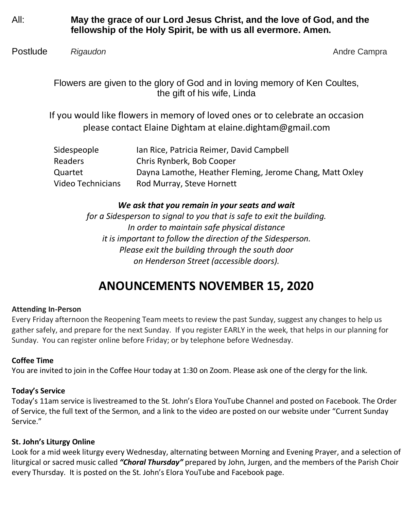All: **May the grace of our Lord Jesus Christ, and the love of God, and the fellowship of the Holy Spirit, be with us all evermore. Amen.**

Postlude *Rigaudon* Andre Campra **Andre Campra** Andre Campra

Flowers are given to the glory of God and in loving memory of Ken Coultes, the gift of his wife, Linda

If you would like flowers in memory of loved ones or to celebrate an occasion please contact Elaine Dightam at elaine.dightam@gmail.com

| Sidespeople       | Ian Rice, Patricia Reimer, David Campbell                |
|-------------------|----------------------------------------------------------|
| Readers           | Chris Rynberk, Bob Cooper                                |
| Quartet           | Dayna Lamothe, Heather Fleming, Jerome Chang, Matt Oxley |
| Video Technicians | Rod Murray, Steve Hornett                                |

*We ask that you remain in your seats and wait*

*for a Sidesperson to signal to you that is safe to exit the building. In order to maintain safe physical distance it is important to follow the direction of the Sidesperson. Please exit the building through the south door on Henderson Street (accessible doors).*

### **ANOUNCEMENTS NOVEMBER 15, 2020**

### **Attending In-Person**

Every Friday afternoon the Reopening Team meets to review the past Sunday, suggest any changes to help us gather safely, and prepare for the next Sunday. If you register EARLY in the week, that helps in our planning for Sunday. You can register online before Friday; or by telephone before Wednesday.

### **Coffee Time**

You are invited to join in the Coffee Hour today at 1:30 on Zoom. Please ask one of the clergy for the link.

### **Today's Service**

Today's 11am service is livestreamed to the St. John's Elora YouTube Channel and posted on Facebook. The Order of Service, the full text of the Sermon, and a link to the video are posted on our website under "Current Sunday Service."

#### **St. John's Liturgy Online**

Look for a mid week liturgy every Wednesday, alternating between Morning and Evening Prayer, and a selection of liturgical or sacred music called *"Choral Thursday"* prepared by John, Jurgen, and the members of the Parish Choir every Thursday. It is posted on the St. John's Elora YouTube and Facebook page.